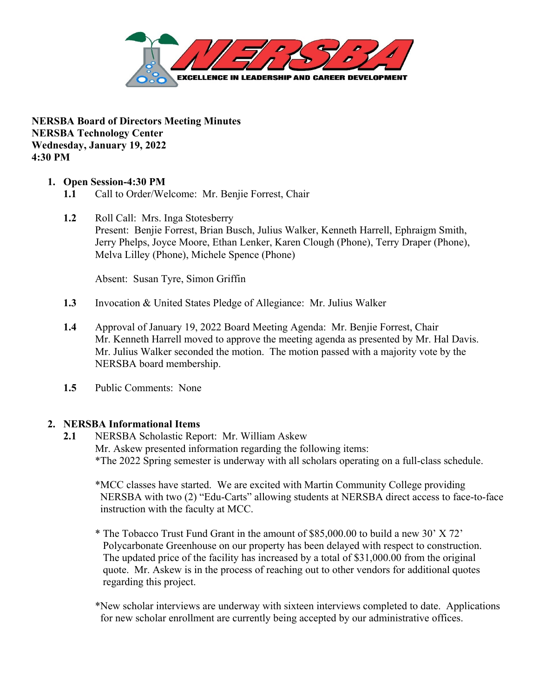

**NERSBA Board of Directors Meeting Minutes NERSBA Technology Center Wednesday, January 19, 2022 4:30 PM** 

### **1. Open Session-4:30 PM**

- **1.1** Call to Order/Welcome: Mr. Benjie Forrest, Chair
- **1.2** Roll Call: Mrs. Inga Stotesberry Present: Benjie Forrest, Brian Busch, Julius Walker, Kenneth Harrell, Ephraigm Smith, Jerry Phelps, Joyce Moore, Ethan Lenker, Karen Clough (Phone), Terry Draper (Phone), Melva Lilley (Phone), Michele Spence (Phone)

Absent: Susan Tyre, Simon Griffin

- **1.3** Invocation & United States Pledge of Allegiance: Mr. Julius Walker
- **1.4** Approval of January 19, 2022 Board Meeting Agenda: Mr. Benjie Forrest, Chair Mr. Kenneth Harrell moved to approve the meeting agenda as presented by Mr. Hal Davis. Mr. Julius Walker seconded the motion. The motion passed with a majority vote by the NERSBA board membership.
- **1.5** Public Comments: None

#### **2. NERSBA Informational Items**

**2.1** NERSBA Scholastic Report: Mr. William Askew Mr. Askew presented information regarding the following items: \*The 2022 Spring semester is underway with all scholars operating on a full-class schedule.

\*MCC classes have started. We are excited with Martin Community College providing NERSBA with two (2) "Edu-Carts" allowing students at NERSBA direct access to face-to-face instruction with the faculty at MCC.

- \* The Tobacco Trust Fund Grant in the amount of \$85,000.00 to build a new 30' X 72' Polycarbonate Greenhouse on our property has been delayed with respect to construction. The updated price of the facility has increased by a total of \$31,000.00 from the original quote. Mr. Askew is in the process of reaching out to other vendors for additional quotes regarding this project.
- \*New scholar interviews are underway with sixteen interviews completed to date. Applications for new scholar enrollment are currently being accepted by our administrative offices.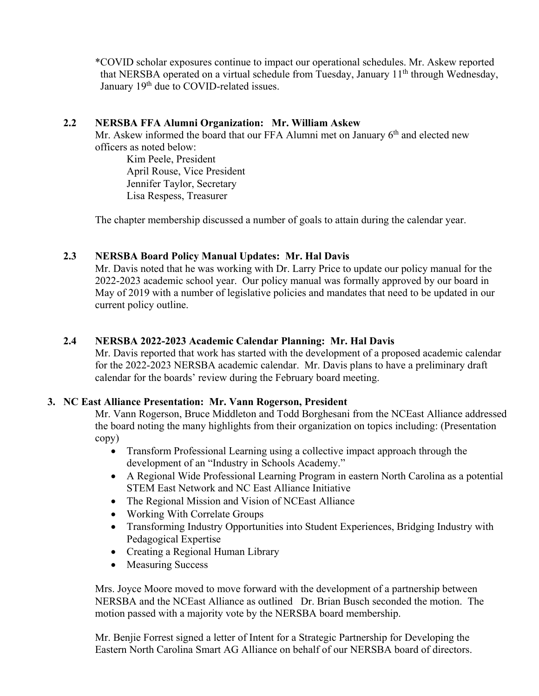\*COVID scholar exposures continue to impact our operational schedules. Mr. Askew reported that NERSBA operated on a virtual schedule from Tuesday, January 11<sup>th</sup> through Wednesday, January 19<sup>th</sup> due to COVID-related issues.

## **2.2 NERSBA FFA Alumni Organization: Mr. William Askew**

Mr. Askew informed the board that our FFA Alumni met on January 6<sup>th</sup> and elected new officers as noted below:

 Kim Peele, President April Rouse, Vice President Jennifer Taylor, Secretary Lisa Respess, Treasurer

The chapter membership discussed a number of goals to attain during the calendar year.

# **2.3 NERSBA Board Policy Manual Updates: Mr. Hal Davis**

Mr. Davis noted that he was working with Dr. Larry Price to update our policy manual for the 2022-2023 academic school year. Our policy manual was formally approved by our board in May of 2019 with a number of legislative policies and mandates that need to be updated in our current policy outline.

# **2.4 NERSBA 2022-2023 Academic Calendar Planning: Mr. Hal Davis**

Mr. Davis reported that work has started with the development of a proposed academic calendar for the 2022-2023 NERSBA academic calendar. Mr. Davis plans to have a preliminary draft calendar for the boards' review during the February board meeting.

### **3. NC East Alliance Presentation: Mr. Vann Rogerson, President**

Mr. Vann Rogerson, Bruce Middleton and Todd Borghesani from the NCEast Alliance addressed the board noting the many highlights from their organization on topics including: (Presentation copy)

- Transform Professional Learning using a collective impact approach through the development of an "Industry in Schools Academy."
- A Regional Wide Professional Learning Program in eastern North Carolina as a potential STEM East Network and NC East Alliance Initiative
- The Regional Mission and Vision of NCEast Alliance
- Working With Correlate Groups
- Transforming Industry Opportunities into Student Experiences, Bridging Industry with Pedagogical Expertise
- Creating a Regional Human Library
- Measuring Success

Mrs. Joyce Moore moved to move forward with the development of a partnership between NERSBA and the NCEast Alliance as outlined Dr. Brian Busch seconded the motion. The motion passed with a majority vote by the NERSBA board membership.

Mr. Benjie Forrest signed a letter of Intent for a Strategic Partnership for Developing the Eastern North Carolina Smart AG Alliance on behalf of our NERSBA board of directors.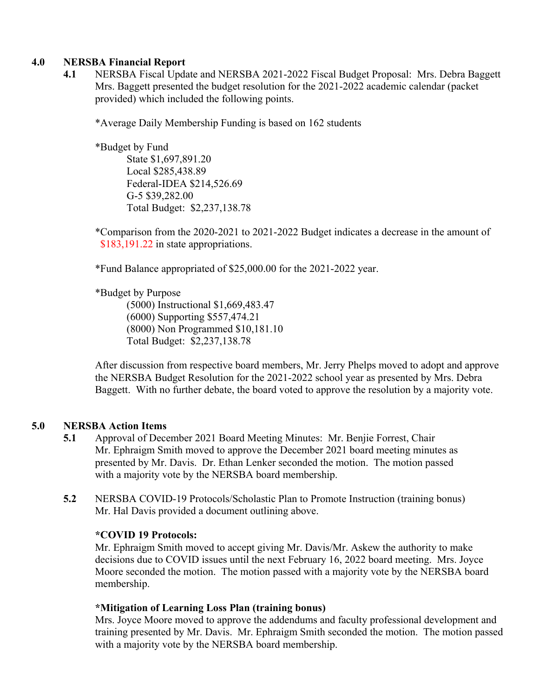### **4.0 NERSBA Financial Report**

**4.1** NERSBA Fiscal Update and NERSBA 2021-2022 Fiscal Budget Proposal: Mrs. Debra Baggett Mrs. Baggett presented the budget resolution for the 2021-2022 academic calendar (packet provided) which included the following points.

\*Average Daily Membership Funding is based on 162 students

 \*Budget by Fund State \$1,697,891.20 Local \$285,438.89 Federal-IDEA \$214,526.69 G-5 \$39,282.00 Total Budget: \$2,237,138.78

 \*Comparison from the 2020-2021 to 2021-2022 Budget indicates a decrease in the amount of \$183,191.22 in state appropriations.

\*Fund Balance appropriated of \$25,000.00 for the 2021-2022 year.

\*Budget by Purpose

 (5000) Instructional \$1,669,483.47 (6000) Supporting \$557,474.21 (8000) Non Programmed \$10,181.10 Total Budget: \$2,237,138.78

 After discussion from respective board members, Mr. Jerry Phelps moved to adopt and approve the NERSBA Budget Resolution for the 2021-2022 school year as presented by Mrs. Debra Baggett. With no further debate, the board voted to approve the resolution by a majority vote.

### **5.0 NERSBA Action Items**

- **5.1** Approval of December 2021 Board Meeting Minutes: Mr. Benjie Forrest, Chair Mr. Ephraigm Smith moved to approve the December 2021 board meeting minutes as presented by Mr. Davis. Dr. Ethan Lenker seconded the motion. The motion passed with a majority vote by the NERSBA board membership.
- **5.2** NERSBA COVID-19 Protocols/Scholastic Plan to Promote Instruction (training bonus) Mr. Hal Davis provided a document outlining above.

### **\*COVID 19 Protocols:**

Mr. Ephraigm Smith moved to accept giving Mr. Davis/Mr. Askew the authority to make decisions due to COVID issues until the next February 16, 2022 board meeting. Mrs. Joyce Moore seconded the motion. The motion passed with a majority vote by the NERSBA board membership.

#### **\*Mitigation of Learning Loss Plan (training bonus)**

Mrs. Joyce Moore moved to approve the addendums and faculty professional development and training presented by Mr. Davis. Mr. Ephraigm Smith seconded the motion. The motion passed with a majority vote by the NERSBA board membership.